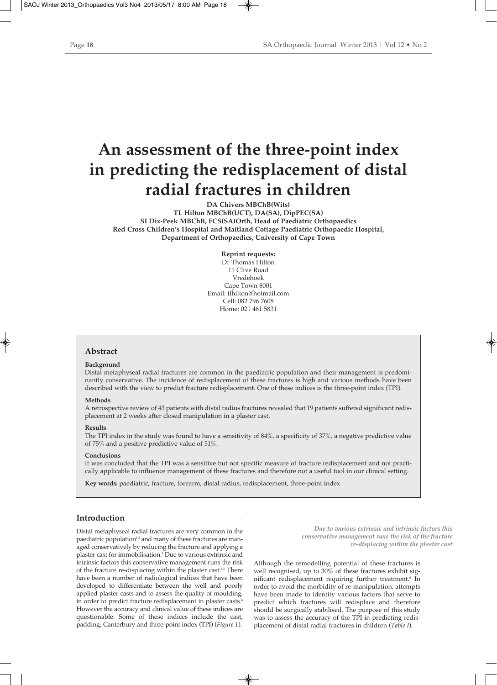# **An assessment of the three-point index in predicting the redisplacement of distal radial fractures in children**

**DA Chivers MBChB(Wits) TL Hilton MBChB(UCT), DA(SA), DipPEC(SA) SI Dix-Peek MBChB, FCS(SA)Orth, Head of Paediatric Orthopaedics Red Cross Children's Hospital and Maitland Cottage Paediatric Orthopaedic Hospital, Department of Orthopaedics, University of Cape Town**

> **Reprint requests:** Dr Thomas Hilton 11 Clive Road Vredehoek Cape Town 8001 Email: tlhilton@hotmail.com Cell: 082 796 7608 Home: 021 461 5831

## **Abstract**

### **Background**

Distal metaphyseal radial fractures are common in the paediatric population and their management is predominantly conservative. The incidence of redisplacement of these fractures is high and various methods have been described with the view to predict fracture redisplacement. One of these indices is the three-point index (TPI).

### **Methods**

A retrospective review of 43 patients with distal radius fractures revealed that 19 patients suffered significant redisplacement at 2 weeks after closed manipulation in a plaster cast.

### **Results**

The TPI index in the study was found to have a sensitivity of 84%, a specificity of 37%, a negative predictive value of 75% and a positive predictive value of 51%.

## **Conclusions**

It was concluded that the TPI was a sensitive but not specific measure of fracture redisplacement and not practically applicable to influence management of these fractures and therefore not a useful tool in our clinical setting.

**Key words:** paediatric, fracture, forearm, distal radius, redisplacement, three-point index

## **Introduction**

Distal metaphyseal radial fractures are very common in the paediatric population<sup>1,2</sup> and many of these fractures are managed conservatively by reducing the fracture and applying a plaster cast for immobilisation.3 Due to various extrinsic and intrinsic factors this conservative management runs the risk of the fracture re-displacing within the plaster cast.<sup>4,5</sup> There have been a number of radiological indices that have been developed to differentiate between the well and poorly applied plaster casts and to assess the quality of moulding, in order to predict fracture redisplacement in plaster casts.<sup>6</sup> However the accuracy and clinical value of these indices are questionable. Some of these indices include the cast, padding, Canterbury and three-point index (TPI) (*Figure 1*).

*Due to various extrinsic and intrinsic factors this conservative management runs the risk of the fracture re-displacing within the plaster cast*

Although the remodelling potential of these fractures is well recognised, up to  $30\%$  of these fractures exhibit significant redisplacement requiring further treatment.<sup>6</sup> In order to avoid the morbidity of re-manipulation, attempts have been made to identify various factors that serve to predict which fractures will redisplace and therefore should be surgically stabilised. The purpose of this study was to assess the accuracy of the TPI in predicting redisplacement of distal radial fractures in children (*Table I*).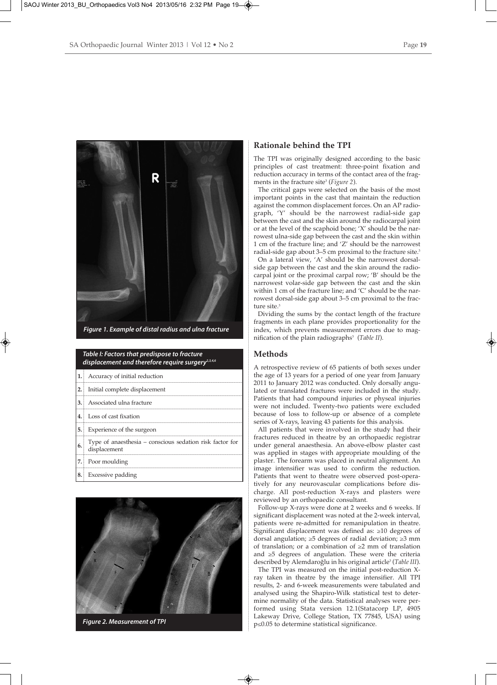

## *Table I: Factors that predispose to fracture displacement and therefore require surgery2,3,4,6*

|    | 1. Accuracy of initial reduction                                         |
|----|--------------------------------------------------------------------------|
|    | <b>2.</b> Initial complete displacement                                  |
|    | 3. Associated ulna fracture                                              |
|    | 4. Loss of cast fixation                                                 |
|    | <b>5.</b> Experience of the surgeon                                      |
| 6. | Type of anaesthesia - conscious sedation risk factor for<br>displacement |
|    | 7. Poor moulding                                                         |
|    | 8. Excessive padding                                                     |



*Figure 2. Measurement of TPI*

## **Rationale behind the TPI**

The TPI was originally designed according to the basic principles of cast treatment: three-point fixation and reduction accuracy in terms of the contact area of the fragments in the fracture site<sup>3</sup> (*Figure 2*).

The critical gaps were selected on the basis of the most important points in the cast that maintain the reduction against the common displacement forces. On an AP radiograph, 'Y' should be the narrowest radial-side gap between the cast and the skin around the radiocarpal joint or at the level of the scaphoid bone; 'X' should be the narrowest ulna-side gap between the cast and the skin within 1 cm of the fracture line; and 'Z' should be the narrowest radial-side gap about 3–5 cm proximal to the fracture site.<sup>3</sup>

On a lateral view, 'A' should be the narrowest dorsalside gap between the cast and the skin around the radiocarpal joint or the proximal carpal row; 'B' should be the narrowest volar-side gap between the cast and the skin within 1 cm of the fracture line; and 'C' should be the narrowest dorsal-side gap about 3–5 cm proximal to the fracture site.<sup>3</sup>

Dividing the sums by the contact length of the fracture fragments in each plane provides proportionality for the index, which prevents measurement errors due to magnification of the plain radiographs<sup>3</sup> (Table II).

## **Methods**

A retrospective review of 65 patients of both sexes under the age of 13 years for a period of one year from January 2011 to January 2012 was conducted. Only dorsally angulated or translated fractures were included in the study. Patients that had compound injuries or physeal injuries were not included. Twenty-two patients were excluded because of loss to follow-up or absence of a complete series of X-rays, leaving 43 patients for this analysis.

All patients that were involved in the study had their fractures reduced in theatre by an orthopaedic registrar under general anaesthesia. An above-elbow plaster cast was applied in stages with appropriate moulding of the plaster. The forearm was placed in neutral alignment. An image intensifier was used to confirm the reduction. Patients that went to theatre were observed post-operatively for any neurovascular complications before discharge. All post-reduction X-rays and plasters were reviewed by an orthopaedic consultant.

Follow-up X-rays were done at 2 weeks and 6 weeks. If significant displacement was noted at the 2-week interval, patients were re-admitted for remanipulation in theatre. Significant displacement was defined as: ≥10 degrees of dorsal angulation; ≥5 degrees of radial deviation; ≥3 mm of translation; or a combination of ≥2 mm of translation and ≥5 degrees of angulation. These were the criteria described by Alemdaroğlu in his original article3 (*Table III*).

The TPI was measured on the initial post-reduction Xray taken in theatre by the image intensifier. All TPI results, 2- and 6-week measurements were tabulated and analysed using the Shapiro-Wilk statistical test to determine normality of the data. Statistical analyses were performed using Stata version 12.1(Statacorp LP, 4905 Lakeway Drive, College Station, TX 77845, USA) using p≤0.05 to determine statistical significance.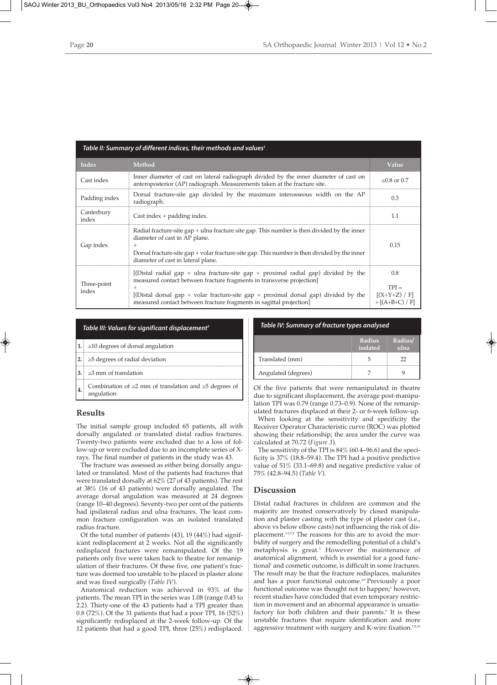| Table II: Summary of different indices, their methods and values <sup>3</sup> |                                                                                                                                                                                                                                                                                                                          |                                                     |  |
|-------------------------------------------------------------------------------|--------------------------------------------------------------------------------------------------------------------------------------------------------------------------------------------------------------------------------------------------------------------------------------------------------------------------|-----------------------------------------------------|--|
| <b>Index</b>                                                                  | Method                                                                                                                                                                                                                                                                                                                   | Value                                               |  |
| Cast index                                                                    | Inner diameter of cast on lateral radiograph divided by the inner diameter of cast on<br>anteroposterior (AP) radiograph. Measurements taken at the fracture site.                                                                                                                                                       | $< 0.8$ or 0.7                                      |  |
| Padding index                                                                 | Dorsal fracture-site gap divided by the maximum interosseous width on the AP<br>radiograph.                                                                                                                                                                                                                              | 0.3                                                 |  |
| Canterbury<br>index                                                           | Cast index $+$ padding index.                                                                                                                                                                                                                                                                                            | 1.1                                                 |  |
| Gap index                                                                     | Radial fracture-site gap + ulna fracture site gap. This number is then divided by the inner<br>diameter of cast in AP plane.<br>Dorsal fracture-site $gap + volar$ fracture-site gap. This number is then divided by the inner<br>diameter of cast in lateral plane.                                                     | 0.15                                                |  |
| Three-point<br>index                                                          | [(Distal radial gap + ulna fracture-site gap + proximal radial gap) divided by the<br>measured contact between fracture fragments in transverse projection<br>[(Distal dorsal gap + volar fracture-site gap + proximal dorsal gap) divided by the<br>measured contact between fracture fragments in sagittal projection] | 0.8<br>$TPI =$<br>$[(X+Y+Z) / F]$<br>$+[(A+B+C)/F]$ |  |

|  | Table III: Values for significant displacement <sup>3</sup> |
|--|-------------------------------------------------------------|
|--|-------------------------------------------------------------|

| $\geq$ 10 degrees of dorsal angulation                                          |
|---------------------------------------------------------------------------------|
| $\geq$ 5 degrees of radial deviation                                            |
| $ 3.  \geq 3$ mm of translation                                                 |
| Combination of $\geq 2$ mm of translation and $\geq 5$ degrees of<br>angulation |

## **Results**

The initial sample group included 65 patients, all with dorsally angulated or translated distal radius fractures. Twenty-two patients were excluded due to a loss of follow-up or were excluded due to an incomplete series of Xrays. The final number of patients in the study was 43.

The fracture was assessed as either being dorsally angulated or translated. Most of the patients had fractures that were translated dorsally at 62% (27 of 43 patients). The rest at 38% (16 of 43 patients) were dorsally angulated. The average dorsal angulation was measured at 24 degrees (range 10–40 degrees). Seventy-two per cent of the patients had ipsilateral radius and ulna fractures. The least common fracture configuration was an isolated translated radius fracture.

Of the total number of patients (43), 19 (44%) had significant redisplacement at 2 weeks. Not all the significantly redisplaced fractures were remanipulated. Of the 19 patients only five were taken back to theatre for remanipulation of their fractures. Of these five, one patient's fracture was deemed too unstable to be placed in plaster alone and was fixed surgically (*Table IV*).

Anatomical reduction was achieved in 93% of the patients. The mean TPI in the series was 1.08 (range 0.45 to 2.2). Thirty-one of the 43 patients had a TPI greater than 0.8 (72%). Of the 31 patients that had a poor TPI, 16 (52%) significantly redisplaced at the 2-week follow-up. Of the 12 patients that had a good TPI, three (25%) redisplaced.

| Table IV: Summary of fracture types analysed |
|----------------------------------------------|
|                                              |

|                     | Radius<br>isolated | Radius/<br>ulna |
|---------------------|--------------------|-----------------|
| Translated (mm)     |                    | רי              |
| Angulated (degrees) |                    |                 |

Of the five patients that were remanipulated in theatre due to significant displacement, the average post-manipulation TPI was 0.79 (range 0.73–0.9). None of the remanipulated fractures displaced at their 2- or 6-week follow-up.

When looking at the sensitivity and specificity the Receiver Operator Characteristic curve (ROC) was plotted showing their relationship; the area under the curve was calculated at 70.72 (*Figure 3*).

The sensitivity of the TPI is 84% (60.4–96.6) and the specificity is 37% (18.8–59.4). The TPI had a positive predictive value of 51% (33.1–69.8) and negative predictive value of 75% (42.8–94.5) (*Table V*).

## **Discussion**

Distal radial fractures in children are common and the majority are treated conservatively by closed manipulation and plaster casting with the type of plaster cast (i.e., above vs below elbow casts) not influencing the risk of displacement.<sup>1-3,7,8</sup> The reasons for this are to avoid the morbidity of surgery and the remodelling potential of a child's metaphysis is great.3 However the maintenance of anatomical alignment, which is essential for a good functional<sup>1</sup> and cosmetic outcome, is difficult in some fractures. The result may be that the fracture redisplaces, malunites and has a poor functional outcome.<sup>2,9</sup> Previously a poor functional outcome was thought not to happen;<sup>1</sup> however, recent studies have concluded that even temporary restriction in movement and an abnormal appearance is unsatisfactory for both children and their parents.<sup>9</sup> It is these unstable fractures that require identification and more aggressive treatment with surgery and K-wire fixation.<sup>7,9,10</sup>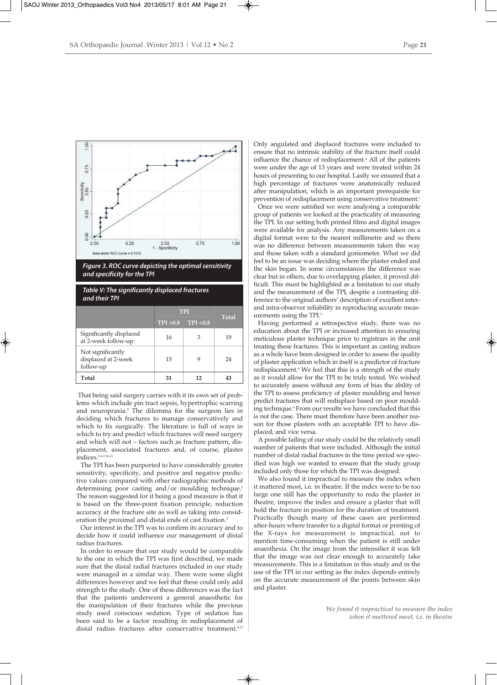

*Figure 3. ROC curve depicting the optimal sensitivity and specificity for the TPI*

*Table V: The significantly displaced fractures and their TPI*

|                                                       | TPI |                         |              |
|-------------------------------------------------------|-----|-------------------------|--------------|
|                                                       |     | $TPI > 0.8$ $TPI < 0.8$ | <b>Total</b> |
| Significantly displaced<br>at 2-week follow-up        | 16  |                         | 1 Q          |
| Not significantly<br>displaced at 2-week<br>follow-up | 15  |                         | 74           |
| Total                                                 |     |                         |              |

That being said surgery carries with it its own set of problems which include pin tract sepsis, hypertrophic scarring and neuropraxia.<sup>9</sup> The dilemma for the surgeon lies in deciding which fractures to manage conservatively and which to fix surgically. The literature is full of ways in which to try and predict which fractures will need surgery and which will not – factors such as fracture pattern, displacement, associated fractures and, of course, plaster indices.2-4,7,10,11

The TPI has been purported to have considerably greater sensitivity, specificity, and positive and negative predictive values compared with other radiographic methods of determining poor casting and/or moulding technique.<sup>3</sup> The reason suggested for it being a good measure is that it is based on the three-point fixation principle, reduction accuracy at the fracture site as well as taking into consideration the proximal and distal ends of cast fixation.<sup>3</sup>

Our interest in the TPI was to confirm its accuracy and to decide how it could influence our management of distal radius fractures.

In order to ensure that our study would be comparable to the one in which the TPI was first described, we made sure that the distal radial fractures included in our study were managed in a similar way. There were some slight differences however and we feel that these could only add strength to the study. One of these differences was the fact that the patients underwent a general anaesthetic for the manipulation of their fractures while the previous study used conscious sedation. Type of sedation has been said to be a factor resulting in redisplacement of distal radius fractures after conservative treatment.<sup>4,12</sup> Only angulated and displaced fractures were included to ensure that no intrinsic stability of the fracture itself could influence the chance of redisplacement.<sup>4</sup> All of the patients were under the age of 13 years and were treated within 24 hours of presenting to our hospital. Lastly we ensured that a high percentage of fractures were anatomically reduced after manipulation, which is an important prerequisite for prevention of redisplacement using conservative treatment.<sup>1</sup>

Once we were satisfied we were analysing a comparable group of patients we looked at the practicality of measuring the TPI. In our setting both printed films and digital images were available for analysis. Any measurements taken on a digital format were to the nearest millimetre and so there was no difference between measurements taken this way and those taken with a standard goniometer. What we did feel to be an issue was deciding where the plaster ended and the skin began. In some circumstances the difference was clear but in others, due to overlapping plaster, it proved difficult. This must be highlighted as a limitation to our study and the measurement of the TPI, despite a contrasting difference to the original authors' description of excellent interand intra-observer reliability in reproducing accurate measurements using the TPI.3

Having performed a retrospective study, there was no education about the TPI or increased attention to ensuring meticulous plaster technique prior to registrars in the unit treating these fractures. This is important as casting indices as a whole have been designed in order to assess the quality of plaster application which in itself is a predictor of fracture redisplacement.<sup>6</sup> We feel that this is a strength of the study as it would allow for the TPI to be truly tested. We wished to accurately assess without any form of bias the ability of the TPI to assess proficiency of plaster moulding and hence predict fractures that will redisplace based on poor moulding technique.<sup>6</sup> From our results we have concluded that this is not the case. There must therefore have been another reason for those plasters with an acceptable TPI to have displaced, and vice versa.

A possible failing of our study could be the relatively small number of patients that were included. Although the initial number of distal radial fractures in the time period we specified was high we wanted to ensure that the study group included only those for which the TPI was designed.

We also found it impractical to measure the index when it mattered most, i.e. in theatre. If the index were to be too large one still has the opportunity to redo the plaster in theatre, improve the index and ensure a plaster that will hold the fracture in position for the duration of treatment. Practically though many of these cases are performed after-hours where transfer to a digital format or printing of the X-rays for measurement is impractical, not to mention time-consuming when the patient is still under anaesthesia. On the image from the intensifier it was felt that the image was not clear enough to accurately take measurements. This is a limitation in this study and in the use of the TPI in our setting as the index depends entirely on the accurate measurement of the points between skin and plaster.

> *We found it impractical to measure the index when it mattered most, i.e. in theatre*